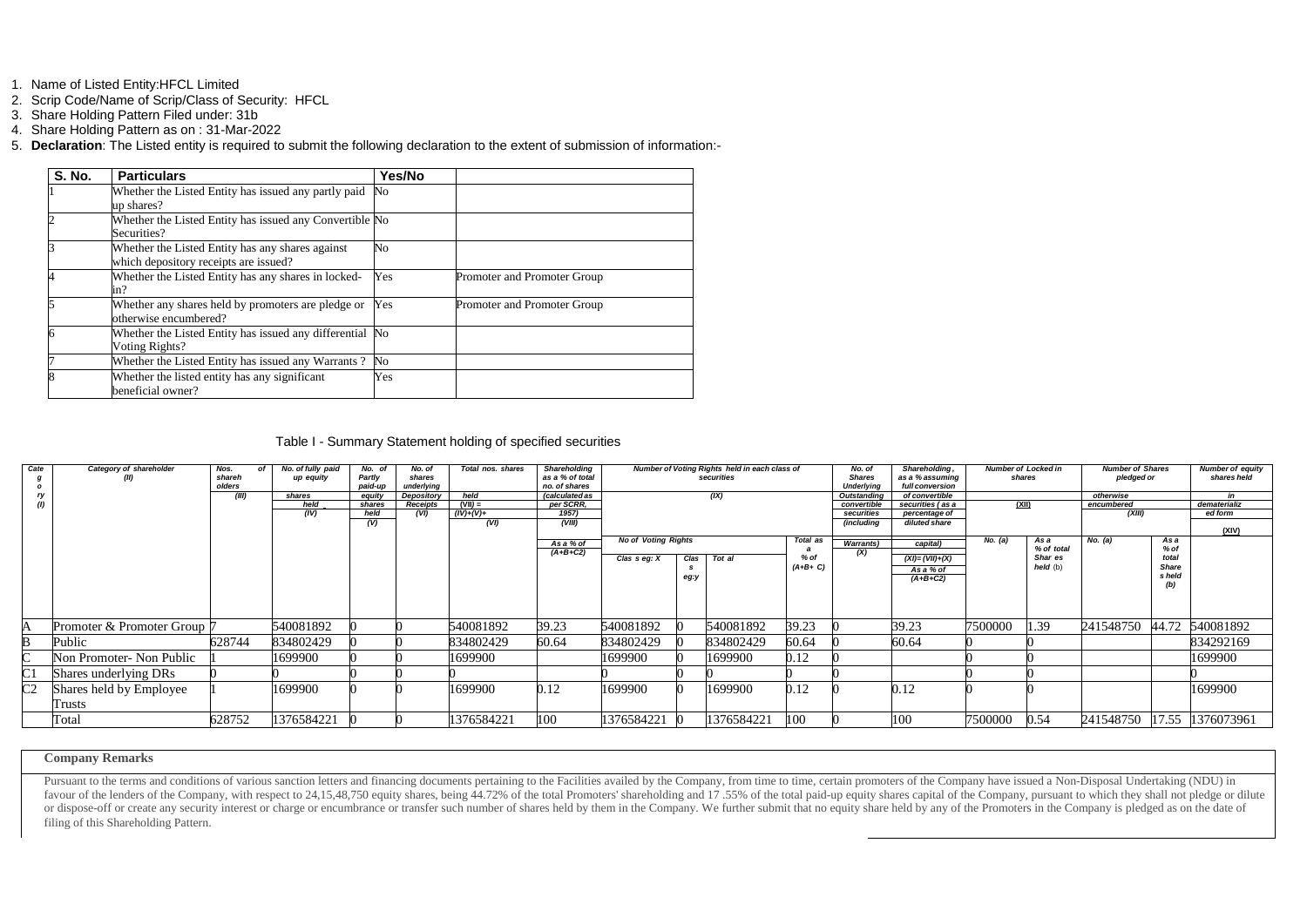- 1. Name of Listed Entity:HFCL Limited
- 2. Scrip Code/Name of Scrip/Class of Security: HFCL
- 3. Share Holding Pattern Filed under: 31b
- 4. Share Holding Pattern as on : 31-Mar-2022
- 5. **Declaration**: The Listed entity is required to submit the following declaration to the extent of submission of information:-

| <b>S. No.</b> | <b>Particulars</b>                                       | Yes/No |                             |
|---------------|----------------------------------------------------------|--------|-----------------------------|
|               | Whether the Listed Entity has issued any partly paid     | No     |                             |
|               | up shares?                                               |        |                             |
|               | Whether the Listed Entity has issued any Convertible No  |        |                             |
|               | Securities?                                              |        |                             |
|               | Whether the Listed Entity has any shares against         | No     |                             |
|               | which depository receipts are issued?                    |        |                             |
|               | Whether the Listed Entity has any shares in locked-      | Yes    | Promoter and Promoter Group |
|               | in?                                                      |        |                             |
|               | Whether any shares held by promoters are pledge or       | Yes    | Promoter and Promoter Group |
|               | otherwise encumbered?                                    |        |                             |
|               | Whether the Listed Entity has issued any differential No |        |                             |
|               | Voting Rights?                                           |        |                             |
|               | Whether the Listed Entity has issued any Warrants?       | No     |                             |
|               | Whether the listed entity has any significant            | Yes    |                             |
|               | beneficial owner?                                        |        |                             |

Table I - Summary Statement holding of specified securities

Pursuant to the terms and conditions of various sanction letters and financing documents pertaining to the Facilities availed by the Company, from time to time, certain promoters of the Company have issued a Non-Disposal U favour of the lenders of the Company, with respect to 24,15,48,750 equity shares, being 44.72% of the total Promoters' shareholding and 17.55% of the total paid-up equity shares capital of the Company, pursuant to which th or dispose-off or create any security interest or charge or encumbrance or transfer such number of shares held by them in the Company. We further submit that no equity share held by any of the Promoters in the Company is p filing of this Shareholding Pattern.

| Cate<br>g<br>$\mathbf{o}$ | Category of shareholder<br>(II) | Nos.<br>Ωf<br>shareh<br>olders | No. of fully paid<br>up equity | No. of<br>Partly<br>paid-up | No. of<br>shares<br>underlying | Total nos. shares | <b>Shareholding</b><br>Number of Voting Rights held in each class of<br>as a % of total<br>securities<br>no. of shares |                            |      | No. of<br><b>Shares</b><br><b>Underlying</b> | Shareholding,<br>as a % assuming<br>full conversion | <b>Number of Locked in</b><br>shares |                                | <b>Number of Shares</b><br>pledged or |                       | <b>Number of equity</b><br>shares held |                 |              |
|---------------------------|---------------------------------|--------------------------------|--------------------------------|-----------------------------|--------------------------------|-------------------|------------------------------------------------------------------------------------------------------------------------|----------------------------|------|----------------------------------------------|-----------------------------------------------------|--------------------------------------|--------------------------------|---------------------------------------|-----------------------|----------------------------------------|-----------------|--------------|
| ry<br>(I)                 |                                 | (III)                          | shares                         | equity                      | <b>Depository</b>              | held              | <i>(calculated as</i>                                                                                                  | (IX)                       |      | Outstanding                                  | of convertible                                      |                                      |                                | otherwise                             |                       | in                                     |                 |              |
|                           |                                 |                                | held                           | shares                      | <b>Receipts</b>                | $(VII) =$         | per SCRR,                                                                                                              |                            |      |                                              |                                                     | convertible                          | securities (as a               | <u>(XII)</u>                          |                       | encumbered                             |                 | dematerializ |
|                           |                                 |                                | (IV)                           | held<br>(V)                 | (VI)                           | (IV)+(V)+<br>(VI) | 1957)<br>(VIII)                                                                                                        |                            |      |                                              |                                                     | securities<br>(including             | percentage of<br>diluted share |                                       |                       | (XIII)                                 |                 | ed form      |
|                           |                                 |                                |                                |                             |                                |                   |                                                                                                                        |                            |      |                                              |                                                     |                                      |                                |                                       |                       |                                        |                 | (XIV)        |
|                           |                                 |                                |                                |                             |                                |                   | As a % of                                                                                                              | <b>No of Voting Rights</b> |      |                                              | Total as                                            | <b>Warrants)</b>                     | capital)                       | No. (a)                               | As a                  | No. (a)                                | As a            |              |
|                           |                                 |                                |                                |                             |                                |                   | $(A+B+C2)$                                                                                                             |                            | Clas | Tot al                                       | $%$ of                                              | (X)                                  | $(XI) = (VII) + (X)$           |                                       | % of total<br>Shar es |                                        | $%$ of<br>total |              |
|                           |                                 |                                |                                |                             |                                |                   |                                                                                                                        | Clas $s$ eg: $X$           |      |                                              | $(A+B+C)$                                           |                                      | As a % of                      |                                       | held(b)               |                                        | <b>Share</b>    |              |
|                           |                                 |                                |                                |                             |                                |                   |                                                                                                                        |                            | eg:y |                                              |                                                     |                                      | $(A+B+C2)$                     |                                       |                       |                                        | s held          |              |
|                           |                                 |                                |                                |                             |                                |                   |                                                                                                                        |                            |      |                                              |                                                     |                                      |                                |                                       |                       |                                        | (b)             |              |
|                           |                                 |                                |                                |                             |                                |                   |                                                                                                                        |                            |      |                                              |                                                     |                                      |                                |                                       |                       |                                        |                 |              |
|                           |                                 |                                |                                |                             |                                |                   |                                                                                                                        |                            |      |                                              |                                                     |                                      |                                |                                       |                       |                                        |                 |              |
|                           | Promoter & Promoter Group 7     |                                | 540081892                      |                             |                                | 540081892         | 39.23                                                                                                                  | 540081892                  |      | 540081892                                    | 39.23                                               |                                      | 39.23                          | 7500000                               | 1.39                  | 241548750                              | 44.72           | 540081892    |
|                           | Public                          | 628744                         | 834802429                      |                             |                                | 834802429         | 60.64                                                                                                                  | 834802429                  |      | 834802429                                    | 60.64                                               |                                      | 60.64                          |                                       |                       |                                        |                 | 834292169    |
| $\subset$                 | Non Promoter- Non Public        |                                | 1699900                        |                             |                                | 1699900           |                                                                                                                        | 1699900                    |      | 1699900                                      | 0.12                                                |                                      |                                |                                       |                       |                                        |                 | 1699900      |
| C1                        | Shares underlying DRs           |                                |                                |                             |                                |                   |                                                                                                                        |                            |      |                                              |                                                     |                                      |                                |                                       |                       |                                        |                 |              |
| $\overline{\text{C2}}$    | Shares held by Employee         |                                | 1699900                        |                             |                                | 1699900           | 0.12                                                                                                                   | 1699900                    |      | 1699900                                      | 0.12                                                |                                      | 0.12                           |                                       |                       |                                        |                 | 1699900      |
|                           | <b>Trusts</b>                   |                                |                                |                             |                                |                   |                                                                                                                        |                            |      |                                              |                                                     |                                      |                                |                                       |                       |                                        |                 |              |
|                           | Total                           | 628752                         | 1376584221                     |                             |                                | 1376584221        | 100                                                                                                                    | 1376584221 0               |      | 1376584221                                   | 100                                                 |                                      | 100                            | 7500000                               | 0.54                  | 241548750 17.55 1376073961             |                 |              |

## **Company Remarks**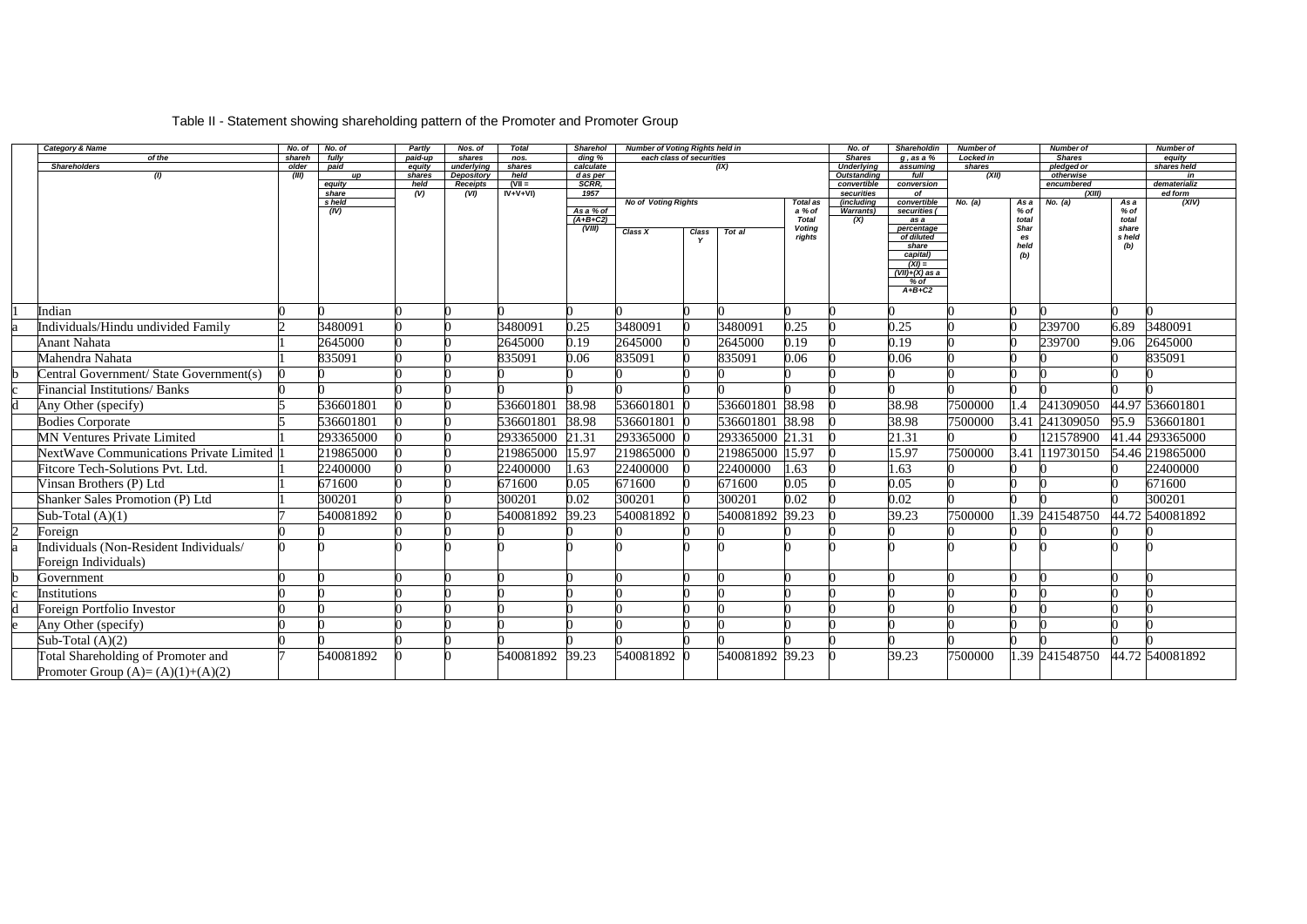# Table II - Statement showing shareholding pattern of the Promoter and Promoter Group

| Category & Name                                | No. of         | No. of          | Partly           | Nos. of                  | <b>Total</b>   | <b>Sharehol</b>       | <b>Number of Voting Rights held in</b> |       |                 |                         | No. of                                  | Shareholdin              | <b>Number of</b> |                  | <b>Number of</b>        |                 | <b>Number of</b>  |
|------------------------------------------------|----------------|-----------------|------------------|--------------------------|----------------|-----------------------|----------------------------------------|-------|-----------------|-------------------------|-----------------------------------------|--------------------------|------------------|------------------|-------------------------|-----------------|-------------------|
| of the                                         | shareh         | fully           | paid-up          | shares                   | nos.           | ding %                | each class of securities               |       |                 |                         | <b>Shares</b>                           | $g$ , as a $%$           | Locked in        |                  | <b>Shares</b>           |                 | equity            |
| <b>Shareholders</b><br>(1)                     | older<br>(III) | paid<br>up      | equity<br>shares | underlying<br>Depository | shares<br>held | calculate<br>d as per |                                        |       | (IX)            |                         | <b>Underlying</b><br><b>Outstanding</b> | assuming<br>full         | shares<br>(XII)  |                  | pledged or<br>otherwise |                 | shares held<br>in |
|                                                |                | equity          | held             | <b>Receipts</b>          | $(VII =$       | SCRR,                 |                                        |       |                 |                         | convertible                             | conversion               |                  |                  | encumbered              |                 | dematerializ      |
|                                                |                | share<br>s held | $\overline{(V)}$ | (VI)                     | $IV+V+VI$      | 1957                  | <b>No of Voting Rights</b>             |       |                 | Total as                | securities<br><i><b>includina</b></i>   | of<br>convertible        | No. (a)          | As a             | (XIII)<br>No. (a)       | Asa             | ed form<br>(XIV)  |
|                                                |                | (IV)            |                  |                          |                | As a % of             |                                        |       |                 | a % of                  | Warrants)                               | securities (             |                  | $%$ of           |                         | $%$ of          |                   |
|                                                |                |                 |                  |                          |                | $(A+B+C2)$            |                                        |       |                 | <b>Total</b>            | (X)                                     | as a                     |                  | total            |                         | total           |                   |
|                                                |                |                 |                  |                          |                | (VIII)                | Class X                                | Class | Tot al          | <b>Voting</b><br>rights |                                         | percentage<br>of diluted |                  | Shar<br>es       |                         | share<br>s held |                   |
|                                                |                |                 |                  |                          |                |                       |                                        |       |                 |                         |                                         | share                    |                  | held             |                         | (b)             |                   |
|                                                |                |                 |                  |                          |                |                       |                                        |       |                 |                         |                                         | capital)<br>$(XI) =$     |                  | (b)              |                         |                 |                   |
|                                                |                |                 |                  |                          |                |                       |                                        |       |                 |                         |                                         | $(VII)+(X)$ as a         |                  |                  |                         |                 |                   |
|                                                |                |                 |                  |                          |                |                       |                                        |       |                 |                         |                                         | % of<br>$A+B+C2$         |                  |                  |                         |                 |                   |
|                                                |                |                 |                  |                          |                |                       |                                        |       |                 |                         |                                         |                          |                  |                  |                         |                 |                   |
| Indian                                         |                |                 |                  |                          |                |                       |                                        |       |                 |                         |                                         |                          |                  |                  |                         |                 |                   |
| Individuals/Hindu undivided Family             |                | 3480091         |                  |                          | 3480091        | 0.25                  | 3480091                                |       | 3480091         | 0.25                    |                                         | 0.25                     |                  |                  | 239700                  | 6.89            | 3480091           |
| <b>Anant Nahata</b>                            |                | 2645000         |                  |                          | 2645000        | 0.19                  | 2645000                                |       | 2645000         | 0.19                    |                                         | 0.19                     |                  |                  | 239700                  | 9.06            | 2645000           |
| Mahendra Nahata                                |                | 835091          |                  |                          | 835091         | 0.06                  | 835091                                 |       | 835091          | 0.06                    |                                         | 0.06                     |                  |                  |                         |                 | 835091            |
| Central Government/ State Government(s)        |                |                 |                  |                          |                |                       |                                        |       |                 |                         |                                         |                          |                  |                  |                         |                 |                   |
| <b>Financial Institutions/ Banks</b>           |                |                 |                  |                          |                |                       |                                        |       |                 |                         |                                         |                          |                  |                  |                         |                 |                   |
| Any Other (specify)                            |                | 536601801       |                  |                          | 536601801      | 38.98                 | 536601801                              |       | 536601801 38.98 |                         |                                         | 38.98                    | 7500000          | $\overline{1.4}$ | 241309050               |                 | 44.97 536601801   |
| <b>Bodies Corporate</b>                        |                | 536601801       |                  |                          | 536601801      | 38.98                 | 536601801                              |       | 536601801       | 38.98                   |                                         | 38.98                    | 7500000          |                  | 3.41 241309050          | 95.9            | 536601801         |
| <b>MN Ventures Private Limited</b>             |                | 293365000       |                  |                          | 293365000      | 21.31                 | 293365000                              |       | 293365000 21.31 |                         |                                         | 21.31                    |                  |                  | 121578900               |                 | 41.44 293365000   |
| <b>NextWave Communications Private Limited</b> |                | 219865000       |                  |                          | 219865000      | 15.97                 | 219865000 0                            |       | 219865000 15.97 |                         |                                         | 15.97                    | 7500000          | 3.41             | 119730150               |                 | 54.46 219865000   |
| <b>Fitcore Tech-Solutions Pvt. Ltd.</b>        |                | 22400000        |                  |                          | 22400000       | 1.63                  | 22400000                               |       | 22400000        | 1.63                    |                                         | 1.63                     |                  |                  |                         |                 | 22400000          |
| Vinsan Brothers (P) Ltd                        |                | 671600          |                  |                          | 671600         | 0.05                  | 671600                                 |       | 671600          | 0.05                    |                                         | 0.05                     |                  |                  |                         |                 | 671600            |
| <b>Shanker Sales Promotion (P) Ltd</b>         |                | 300201          |                  |                          | 300201         | 0.02                  | 300201                                 |       | 300201          | 0.02                    |                                         | 0.02                     |                  |                  |                         |                 | 300201            |
| Sub-Total $(A)(1)$                             |                | 540081892       |                  |                          | 540081892      | 39.23                 | 540081892                              |       | 540081892       | 39.23                   |                                         | 39.23                    | 7500000          |                  | .39 241548750           |                 | 44.72 540081892   |
| Foreign                                        |                |                 |                  |                          |                |                       |                                        |       |                 |                         |                                         |                          |                  |                  |                         |                 |                   |
| Individuals (Non-Resident Individuals/         |                |                 |                  |                          |                |                       |                                        |       |                 |                         |                                         |                          |                  |                  |                         |                 |                   |
| Foreign Individuals)                           |                |                 |                  |                          |                |                       |                                        |       |                 |                         |                                         |                          |                  |                  |                         |                 |                   |
| Government                                     |                |                 |                  |                          |                |                       |                                        |       |                 |                         |                                         |                          |                  |                  |                         |                 |                   |
| Institutions                                   |                |                 |                  |                          |                |                       |                                        |       |                 |                         |                                         |                          |                  |                  |                         |                 |                   |
| Foreign Portfolio Investor                     |                |                 |                  |                          |                |                       |                                        |       |                 |                         |                                         |                          |                  |                  |                         |                 |                   |
| Any Other (specify)                            |                |                 |                  |                          |                |                       |                                        |       |                 |                         |                                         |                          |                  |                  |                         |                 |                   |
| Sub-Total $(A)(2)$                             |                |                 |                  |                          |                |                       |                                        |       |                 |                         |                                         |                          |                  |                  |                         |                 |                   |
| Total Shareholding of Promoter and             |                | 540081892       |                  |                          | 540081892      | 39.23                 | 540081892 0                            |       | 540081892 39.23 |                         |                                         | 39.23                    | 7500000          |                  | .39 241548750           |                 | 44.72 540081892   |
| Promoter Group $(A)=(A)(1)+(A)(2)$             |                |                 |                  |                          |                |                       |                                        |       |                 |                         |                                         |                          |                  |                  |                         |                 |                   |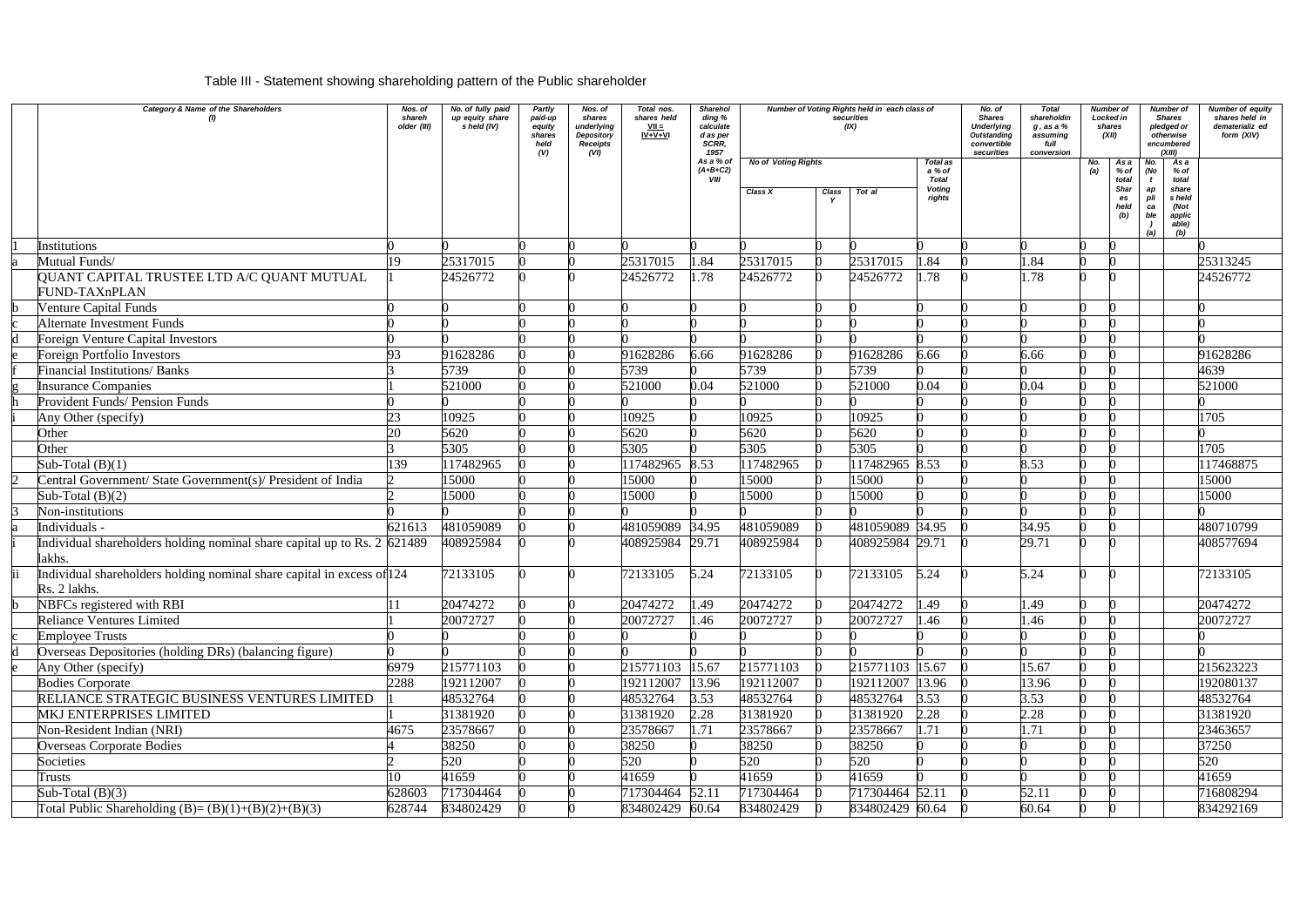# Table III - Statement showing shareholding pattern of the Public shareholder

| Category & Name of the Shareholders                                                    | Nos. of<br>shareh<br>older (III) | No. of fully paid<br>up equity share<br>s held (IV) | Partly<br>paid-up<br>equity<br>shares<br>held<br>(V) | Nos. of<br>shares<br>underlying<br>Depository<br><b>Receipts</b><br>(VI) | Total nos.<br>shares held<br>$VII =$<br>$IV + V + VI$ | <b>Sharehol</b><br>ding %<br>calculate<br>d as per<br>SCRR.<br>1957 | securities<br>(IX)<br><b>No of Voting Rights</b><br>Total as |                      |                 |                                                   |  |       | Number of Voting Rights held in each class of |                                                    |                                                                                                                           |           |  |  | <b>Total</b><br>shareholdin<br>$g$ , as a $%$<br>assuming<br>full<br>conversion |  | Number of<br>Locked in<br>shares<br>(XII) | Number of<br><b>Shares</b><br>pledged or<br>otherwise<br>encumbered<br>(XIII) | <b>Number of equity</b><br>shares held in<br>dematerializ ed<br>form (XIV) |
|----------------------------------------------------------------------------------------|----------------------------------|-----------------------------------------------------|------------------------------------------------------|--------------------------------------------------------------------------|-------------------------------------------------------|---------------------------------------------------------------------|--------------------------------------------------------------|----------------------|-----------------|---------------------------------------------------|--|-------|-----------------------------------------------|----------------------------------------------------|---------------------------------------------------------------------------------------------------------------------------|-----------|--|--|---------------------------------------------------------------------------------|--|-------------------------------------------|-------------------------------------------------------------------------------|----------------------------------------------------------------------------|
|                                                                                        |                                  |                                                     |                                                      |                                                                          |                                                       | As a % of<br>$(A+B+C2)$<br>VIII                                     | Class X                                                      | Class<br>$\mathbf v$ | Tot al          | a % of<br><b>Total</b><br><b>Voting</b><br>rights |  |       | No.                                           | As a<br>% of<br>total<br>Shar<br>es<br>held<br>(b) | As a<br>No.<br>(No<br>$%$ of<br>total<br>share<br>ap<br>pli<br>held<br>(Not<br>ca<br>ble<br>applic<br>able)<br>(b)<br>(a) |           |  |  |                                                                                 |  |                                           |                                                                               |                                                                            |
| <b>Institutions</b>                                                                    |                                  |                                                     |                                                      |                                                                          |                                                       |                                                                     |                                                              |                      |                 |                                                   |  |       |                                               |                                                    |                                                                                                                           |           |  |  |                                                                                 |  |                                           |                                                                               |                                                                            |
| Mutual Funds/                                                                          | 19                               | 25317015                                            |                                                      |                                                                          | 25317015                                              | 1.84                                                                | 25317015                                                     |                      | 25317015        | 1.84                                              |  | l.84  |                                               |                                                    |                                                                                                                           | 25313245  |  |  |                                                                                 |  |                                           |                                                                               |                                                                            |
| QUANT CAPITAL TRUSTEE LTD A/C QUANT MUTUAL<br>FUND-TAXnPLAN                            |                                  | 24526772                                            |                                                      |                                                                          | 24526772                                              | 1.78                                                                | 24526772                                                     |                      | 24526772        | .78                                               |  | l.78  |                                               |                                                    |                                                                                                                           | 24526772  |  |  |                                                                                 |  |                                           |                                                                               |                                                                            |
| <b>Venture Capital Funds</b>                                                           |                                  |                                                     |                                                      |                                                                          |                                                       |                                                                     |                                                              |                      |                 |                                                   |  |       |                                               |                                                    |                                                                                                                           |           |  |  |                                                                                 |  |                                           |                                                                               |                                                                            |
| <b>Alternate Investment Funds</b>                                                      |                                  |                                                     |                                                      |                                                                          |                                                       |                                                                     |                                                              |                      |                 |                                                   |  |       |                                               |                                                    |                                                                                                                           |           |  |  |                                                                                 |  |                                           |                                                                               |                                                                            |
| Foreign Venture Capital Investors                                                      |                                  |                                                     |                                                      |                                                                          |                                                       |                                                                     |                                                              |                      |                 |                                                   |  |       |                                               |                                                    |                                                                                                                           |           |  |  |                                                                                 |  |                                           |                                                                               |                                                                            |
| <b>Foreign Portfolio Investors</b>                                                     | 93                               | 91628286                                            |                                                      |                                                                          | 91628286                                              | 6.66                                                                | 91628286                                                     |                      | 91628286        | 6.66                                              |  | 6.66  |                                               |                                                    |                                                                                                                           | 91628286  |  |  |                                                                                 |  |                                           |                                                                               |                                                                            |
| <b>Financial Institutions/ Banks</b>                                                   |                                  | 5739                                                |                                                      |                                                                          | 5739                                                  |                                                                     | 5739                                                         |                      | 5739            |                                                   |  |       |                                               |                                                    |                                                                                                                           | 4639      |  |  |                                                                                 |  |                                           |                                                                               |                                                                            |
| <b>Insurance Companies</b>                                                             |                                  | 521000                                              |                                                      |                                                                          | 521000                                                | 0.04                                                                | 521000                                                       |                      | 521000          | 0.04                                              |  | 0.04  |                                               |                                                    |                                                                                                                           | 521000    |  |  |                                                                                 |  |                                           |                                                                               |                                                                            |
| <b>Provident Funds/ Pension Funds</b>                                                  |                                  |                                                     |                                                      |                                                                          |                                                       |                                                                     |                                                              |                      |                 |                                                   |  |       |                                               |                                                    |                                                                                                                           |           |  |  |                                                                                 |  |                                           |                                                                               |                                                                            |
| Any Other (specify)                                                                    | 23                               | 10925                                               |                                                      |                                                                          | 10925                                                 |                                                                     | 10925                                                        |                      | 10925           |                                                   |  |       |                                               |                                                    |                                                                                                                           | 1705      |  |  |                                                                                 |  |                                           |                                                                               |                                                                            |
| Other                                                                                  | 20                               | 5620                                                |                                                      |                                                                          | 5620                                                  |                                                                     | 5620                                                         |                      | 5620            |                                                   |  |       |                                               |                                                    |                                                                                                                           |           |  |  |                                                                                 |  |                                           |                                                                               |                                                                            |
| Other                                                                                  |                                  | 5305                                                |                                                      |                                                                          | 5305                                                  |                                                                     | 5305                                                         |                      | 5305            |                                                   |  |       |                                               |                                                    |                                                                                                                           | 1705      |  |  |                                                                                 |  |                                           |                                                                               |                                                                            |
| Sub-Total $(B)(1)$                                                                     | 139                              | 117482965                                           |                                                      |                                                                          | 117482965                                             | 8.53                                                                | 117482965                                                    |                      | 117482965 8.53  |                                                   |  | 8.53  |                                               |                                                    |                                                                                                                           | 117468875 |  |  |                                                                                 |  |                                           |                                                                               |                                                                            |
| Central Government/ State Government(s)/ President of India                            |                                  | 15000                                               |                                                      |                                                                          | 15000                                                 |                                                                     | 15000                                                        |                      | 15000           |                                                   |  |       |                                               |                                                    |                                                                                                                           | 15000     |  |  |                                                                                 |  |                                           |                                                                               |                                                                            |
| Sub-Total $(B)(2)$                                                                     |                                  | 15000                                               |                                                      |                                                                          | 15000                                                 |                                                                     | 15000                                                        |                      | 15000           |                                                   |  |       |                                               |                                                    |                                                                                                                           | 15000     |  |  |                                                                                 |  |                                           |                                                                               |                                                                            |
| Non-institutions                                                                       |                                  |                                                     |                                                      |                                                                          |                                                       |                                                                     |                                                              |                      |                 |                                                   |  |       |                                               |                                                    |                                                                                                                           |           |  |  |                                                                                 |  |                                           |                                                                               |                                                                            |
| Individuals -                                                                          | 621613                           | 481059089                                           |                                                      |                                                                          | 481059089                                             | 34.95                                                               | 481059089                                                    |                      | 481059089 34.95 |                                                   |  | 34.95 |                                               |                                                    |                                                                                                                           | 480710799 |  |  |                                                                                 |  |                                           |                                                                               |                                                                            |
| Individual shareholders holding nominal share capital up to Rs. 2 $621489$<br>lakhs.   |                                  | 408925984                                           |                                                      |                                                                          | 408925984                                             | 29.71                                                               | 408925984                                                    |                      | 408925984 29.71 |                                                   |  | 29.71 |                                               |                                                    |                                                                                                                           | 408577694 |  |  |                                                                                 |  |                                           |                                                                               |                                                                            |
| Individual shareholders holding nominal share capital in excess of 124<br>Rs. 2 lakhs. |                                  | 72133105                                            |                                                      |                                                                          | 72133105                                              | 5.24                                                                | 72133105                                                     |                      | 72133105        | 5.24                                              |  | 5.24  |                                               |                                                    |                                                                                                                           | 72133105  |  |  |                                                                                 |  |                                           |                                                                               |                                                                            |
| NBFCs registered with RBI                                                              |                                  | 20474272                                            |                                                      |                                                                          | 20474272                                              | 1.49                                                                | 20474272                                                     |                      | 20474272        | 1.49                                              |  | .49   |                                               |                                                    |                                                                                                                           | 20474272  |  |  |                                                                                 |  |                                           |                                                                               |                                                                            |
| <b>Reliance Ventures Limited</b>                                                       |                                  | 20072727                                            |                                                      |                                                                          | 20072727                                              | 1.46                                                                | 20072727                                                     |                      | 20072727        | 1.46                                              |  | l.46  |                                               |                                                    |                                                                                                                           | 20072727  |  |  |                                                                                 |  |                                           |                                                                               |                                                                            |
| <b>Employee Trusts</b>                                                                 |                                  |                                                     |                                                      |                                                                          |                                                       |                                                                     |                                                              |                      |                 |                                                   |  |       |                                               |                                                    |                                                                                                                           |           |  |  |                                                                                 |  |                                           |                                                                               |                                                                            |
| Overseas Depositories (holding DRs) (balancing figure)                                 |                                  |                                                     |                                                      |                                                                          |                                                       |                                                                     |                                                              |                      |                 |                                                   |  |       |                                               |                                                    |                                                                                                                           |           |  |  |                                                                                 |  |                                           |                                                                               |                                                                            |
| Any Other (specify)                                                                    | 6979                             | 215771103                                           |                                                      |                                                                          | 215771103                                             | 15.67                                                               | 215771103                                                    |                      | 215771103 15.67 |                                                   |  | 15.67 |                                               |                                                    |                                                                                                                           | 215623223 |  |  |                                                                                 |  |                                           |                                                                               |                                                                            |
| <b>Bodies Corporate</b>                                                                | 2288                             | 192112007                                           |                                                      |                                                                          | 192112007                                             | 13.96                                                               | 192112007                                                    |                      | 192112007 13.96 |                                                   |  | 13.96 |                                               |                                                    |                                                                                                                           | 192080137 |  |  |                                                                                 |  |                                           |                                                                               |                                                                            |
| RELIANCE STRATEGIC BUSINESS VENTURES LIMITED                                           |                                  | 48532764                                            |                                                      |                                                                          | 48532764                                              | 3.53                                                                | 48532764                                                     |                      | 48532764        | 3.53                                              |  | 3.53  |                                               |                                                    |                                                                                                                           | 48532764  |  |  |                                                                                 |  |                                           |                                                                               |                                                                            |
| MKJ ENTERPRISES LIMITED                                                                |                                  | 31381920                                            |                                                      |                                                                          | 31381920                                              | 2.28                                                                | 31381920                                                     |                      | 31381920        | 2.28                                              |  | 2.28  |                                               |                                                    |                                                                                                                           | 31381920  |  |  |                                                                                 |  |                                           |                                                                               |                                                                            |
| Non-Resident Indian (NRI)                                                              | 4675                             | 23578667                                            |                                                      |                                                                          | 23578667                                              | 1.71                                                                | 23578667                                                     |                      | 23578667        | 1.71                                              |  | 1.71  |                                               |                                                    |                                                                                                                           | 23463657  |  |  |                                                                                 |  |                                           |                                                                               |                                                                            |
| <b>Overseas Corporate Bodies</b>                                                       |                                  | 38250                                               |                                                      |                                                                          | 38250                                                 |                                                                     | 38250                                                        |                      | 38250           |                                                   |  |       |                                               |                                                    |                                                                                                                           | 37250     |  |  |                                                                                 |  |                                           |                                                                               |                                                                            |
| Societies                                                                              |                                  | 520                                                 |                                                      |                                                                          | 520                                                   |                                                                     | 520                                                          |                      | 520             |                                                   |  |       |                                               |                                                    |                                                                                                                           | 520       |  |  |                                                                                 |  |                                           |                                                                               |                                                                            |
| Trusts                                                                                 | 10                               | 41659                                               |                                                      |                                                                          | 41659                                                 |                                                                     | 41659                                                        |                      | 41659           |                                                   |  |       |                                               |                                                    |                                                                                                                           | 41659     |  |  |                                                                                 |  |                                           |                                                                               |                                                                            |
| Sub-Total $(B)(3)$                                                                     | 628603                           | 717304464                                           |                                                      |                                                                          | 717304464                                             | 52.11                                                               | 717304464                                                    |                      | 717304464 52.11 |                                                   |  | 52.11 |                                               |                                                    |                                                                                                                           | 716808294 |  |  |                                                                                 |  |                                           |                                                                               |                                                                            |
| Total Public Shareholding (B)= $(B)(1)+(B)(2)+(B)(3)$                                  | 628744                           | 834802429                                           |                                                      |                                                                          | 834802429 60.64                                       |                                                                     | 834802429                                                    |                      | 834802429 60.64 |                                                   |  | 60.64 |                                               |                                                    |                                                                                                                           | 834292169 |  |  |                                                                                 |  |                                           |                                                                               |                                                                            |